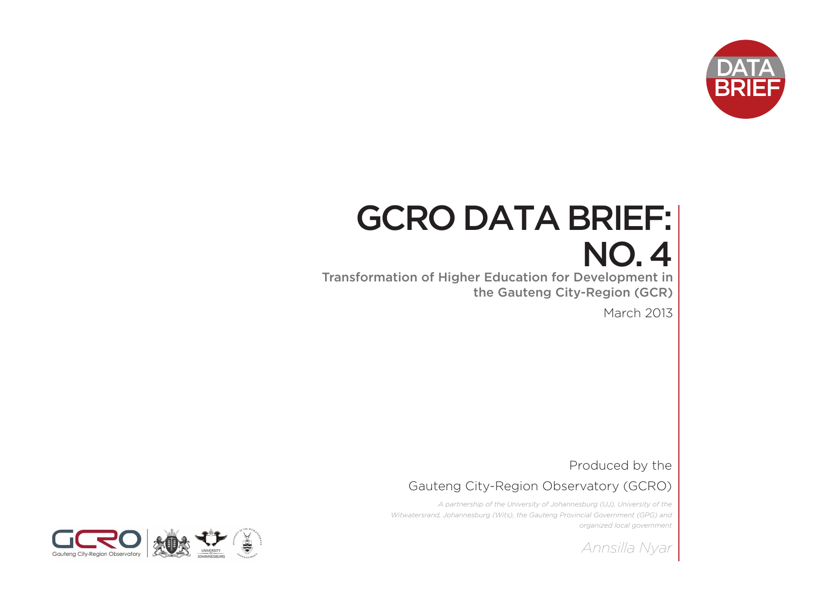

# GCRO DATA BRIEF: NO. 4

Transformation of Higher Education for Development in the Gauteng City-Region (GCR)

March 2013

Produced by the

Gauteng City-Region Observatory (GCRO)

*A partnership of the University of Johannesburg (UJ), University of the Witwatersrand, Johannesburg (Wits), the Gauteng Provincial Government (GPG) and organized local government*

*Annsilla Nyar* 

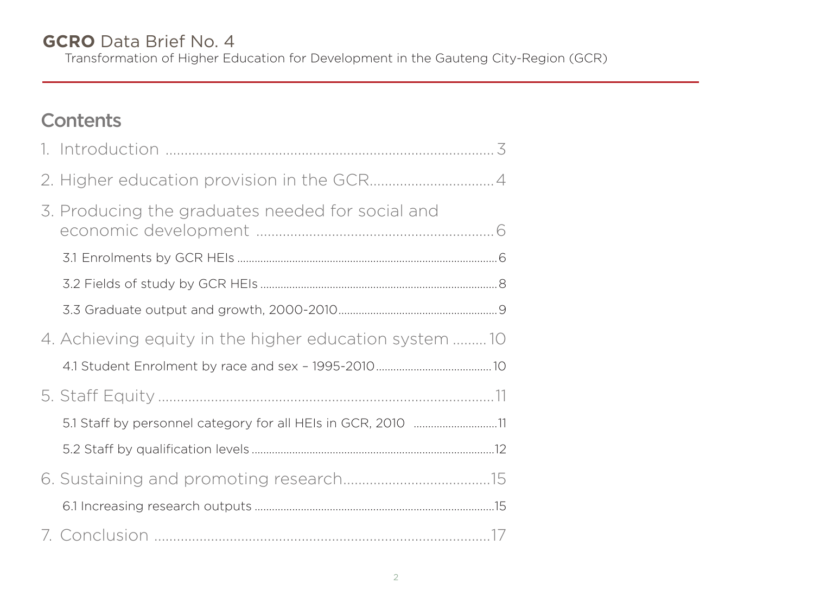### **GCRO** Data Brief No. 4 Transformation of Higher Education for Development in the Gauteng City-Region (GCR)

# **Contents**

| 3. Producing the graduates needed for social and             |  |
|--------------------------------------------------------------|--|
|                                                              |  |
|                                                              |  |
|                                                              |  |
| 4. Achieving equity in the higher education system 10        |  |
|                                                              |  |
|                                                              |  |
| 5.1 Staff by personnel category for all HEIs in GCR, 2010 11 |  |
|                                                              |  |
|                                                              |  |
|                                                              |  |
|                                                              |  |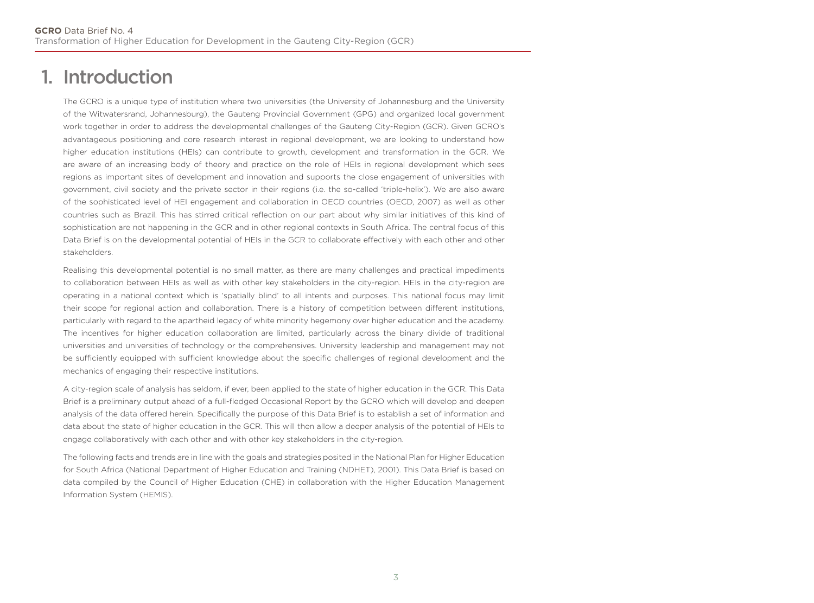# 1. Introduction

The GCRO is a unique type of institution where two universities (the University of Johannesburg and the University of the Witwatersrand, Johannesburg), the Gauteng Provincial Government (GPG) and organized local government work together in order to address the developmental challenges of the Gauteng City-Region (GCR). Given GCRO's advantageous positioning and core research interest in regional development, we are looking to understand how higher education institutions (HEIs) can contribute to growth, development and transformation in the GCR. We are aware of an increasing body of theory and practice on the role of HEIs in regional development which sees regions as important sites of development and innovation and supports the close engagement of universities with government, civil society and the private sector in their regions (i.e. the so-called 'triple-helix'). We are also aware of the sophisticated level of HEI engagement and collaboration in OECD countries (OECD, 2007) as well as other countries such as Brazil. This has stirred critical reflection on our part about why similar initiatives of this kind of sophistication are not happening in the GCR and in other regional contexts in South Africa. The central focus of this Data Brief is on the developmental potential of HEIs in the GCR to collaborate effectively with each other and other stakeholders.

**51% 49%** universities and universities of technology or the comprehensives. University leadership and management may not Realising this developmental potential is no small matter, as there are many challenges and practical impediments to collaboration between HEIs as well as with other key stakeholders in the city-region. HEIs in the city-region are operating in a national context which is 'spatially blind' to all intents and purposes. This national focus may limit their scope for regional action and collaboration. There is a history of competition between different institutions, particularly with regard to the apartheid legacy of white minority hegemony over higher education and the academy. The incentives for higher education collaboration are limited, particularly across the binary divide of traditional be sufficiently equipped with sufficient knowledge about the specific challenges of regional development and the mechanics of engaging their respective institutions.

A city-region scale of analysis has seldom, if ever, been applied to the state of higher education in the GCR. This Data Brief is a preliminary output ahead of a full-fledged Occasional Report by the GCRO which will develop and deepen analysis of the data offered herein. Specifically the purpose of this Data Brief is to establish a set of information and data about the state of higher education in the GCR. This will then allow a deeper analysis of the potential of HEIs to engage collaboratively with each other and with other key stakeholders in the city-region.

The following facts and trends are in line with the goals and strategies posited in the National Plan for Higher Education for South Africa (National Department of Higher Education and Training (NDHET), 2001). This Data Brief is based on data compiled by the Council of Higher Education (CHE) in collaboration with the Higher Education Management Information System (HEMIS).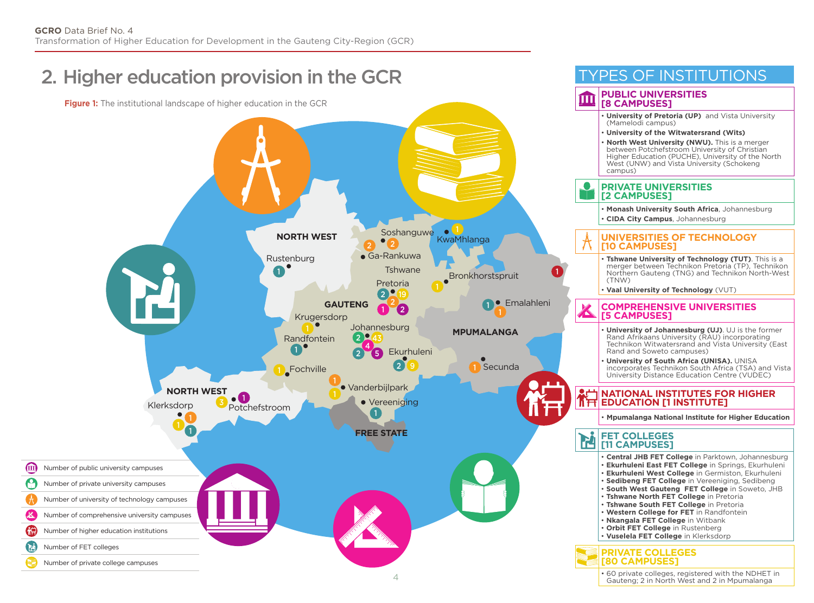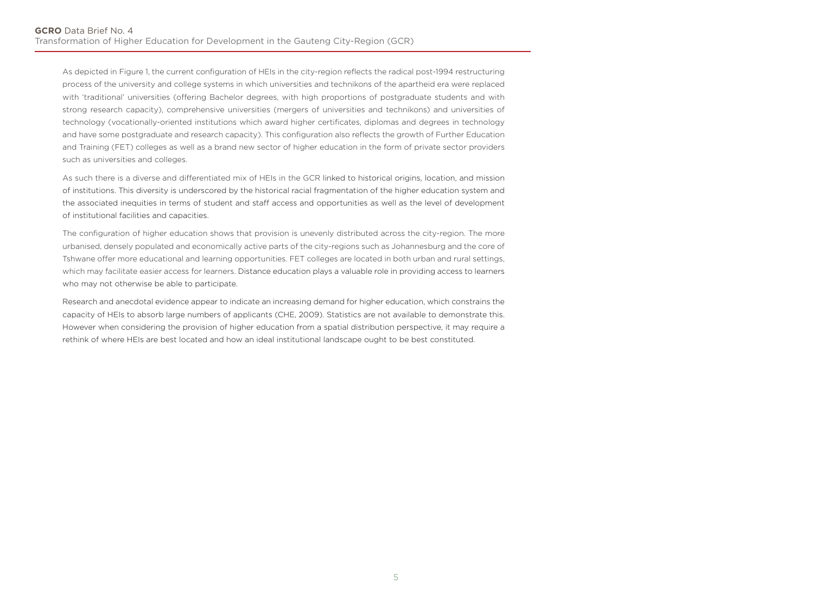As depicted in Figure 1, the current configuration of HEIs in the city-region reflects the radical post-1994 restructuring process of the university and college systems in which universities and technikons of the apartheid era were replaced with 'traditional' universities (offering Bachelor degrees, with high proportions of postgraduate students and with strong research capacity), comprehensive universities (mergers of universities and technikons) and universities of technology (vocationally-oriented institutions which award higher certificates, diplomas and degrees in technology and have some postgraduate and research capacity). This configuration also reflects the growth of Further Education and Training (FET) colleges as well as a brand new sector of higher education in the form of private sector providers such as universities and colleges.

As such there is a diverse and differentiated mix of HEIs in the GCR linked to historical origins, location, and mission of institutions. This diversity is underscored by the historical racial fragmentation of the higher education system and the associated inequities in terms of student and staff access and opportunities as well as the level of development of institutional facilities and capacities.

The configuration of higher education shows that provision is unevenly distributed across the city-region. The more urbanised, densely populated and economically active parts of the city-regions such as Johannesburg and the core of Tshwane offer more educational and learning opportunities. FET colleges are located in both urban and rural settings, which may facilitate easier access for learners. Distance education plays a valuable role in providing access to learners who may not otherwise be able to participate.

Research and anecdotal evidence appear to indicate an increasing demand for higher education, which constrains the capacity of HEIs to absorb large numbers of applicants (CHE, 2009). Statistics are not available to demonstrate this. However when considering the provision of higher education from a spatial distribution perspective, it may require a rethink of where HEIs are best located and how an ideal institutional landscape ought to be best constituted.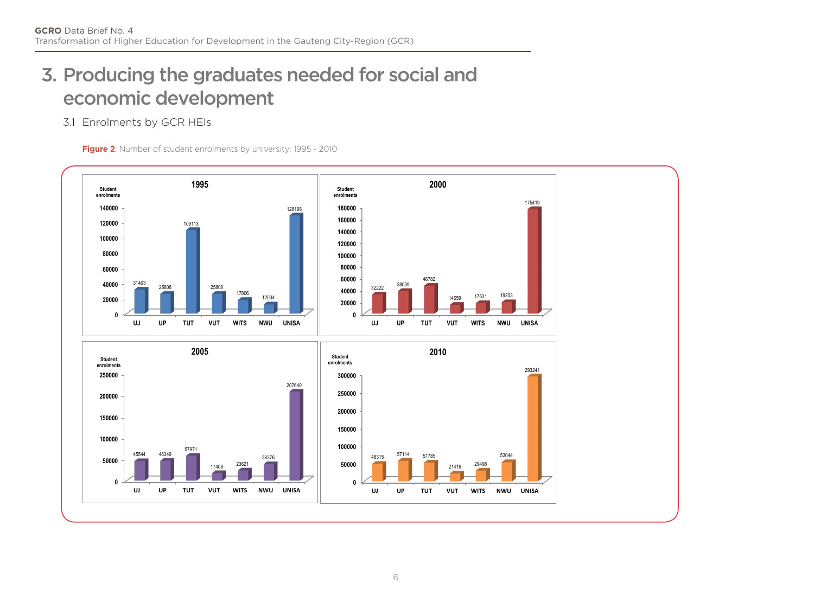# 3. Producing the graduates needed for social and economic development

### 3.1 Enrolments by GCR HEIs

**Figure 2**: Number of student enrolments by university: 1995 - 2010

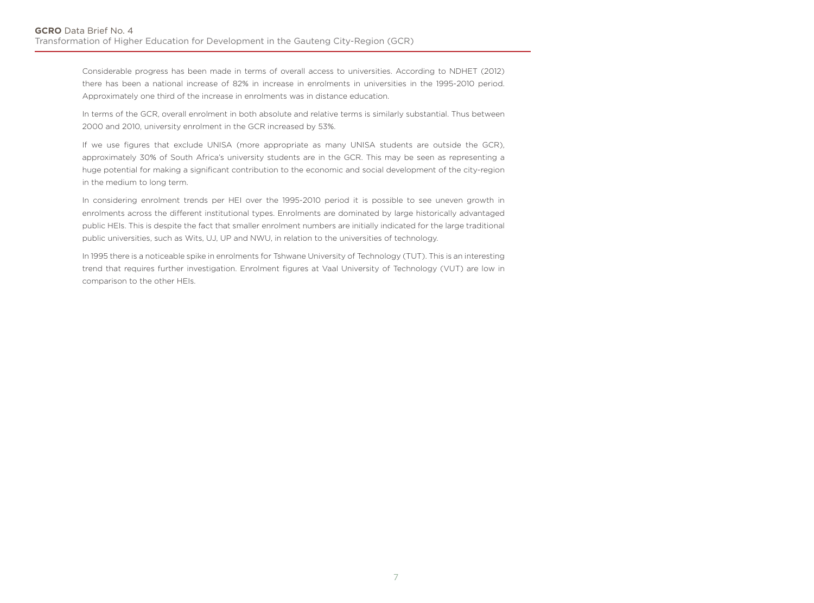Considerable progress has been made in terms of overall access to universities. According to NDHET (2012) there has been a national increase of 82% in increase in enrolments in universities in the 1995-2010 period. Approximately one third of the increase in enrolments was in distance education.

In terms of the GCR, overall enrolment in both absolute and relative terms is similarly substantial. Thus between 2000 and 2010, university enrolment in the GCR increased by 53%.

If we use figures that exclude UNISA (more appropriate as many UNISA students are outside the GCR), approximately 30% of South Africa's university students are in the GCR. This may be seen as representing a huge potential for making a significant contribution to the economic and social development of the city-region in the medium to long term.

In considering enrolment trends per HEI over the 1995-2010 period it is possible to see uneven growth in enrolments across the different institutional types. Enrolments are dominated by large historically advantaged public HEIs. This is despite the fact that smaller enrolment numbers are initially indicated for the large traditional public universities, such as Wits, UJ, UP and NWU, in relation to the universities of technology.

In 1995 there is a noticeable spike in enrolments for Tshwane University of Technology (TUT). This is an interesting trend that requires further investigation. Enrolment figures at Vaal University of Technology (VUT) are low in comparison to the other HEIs.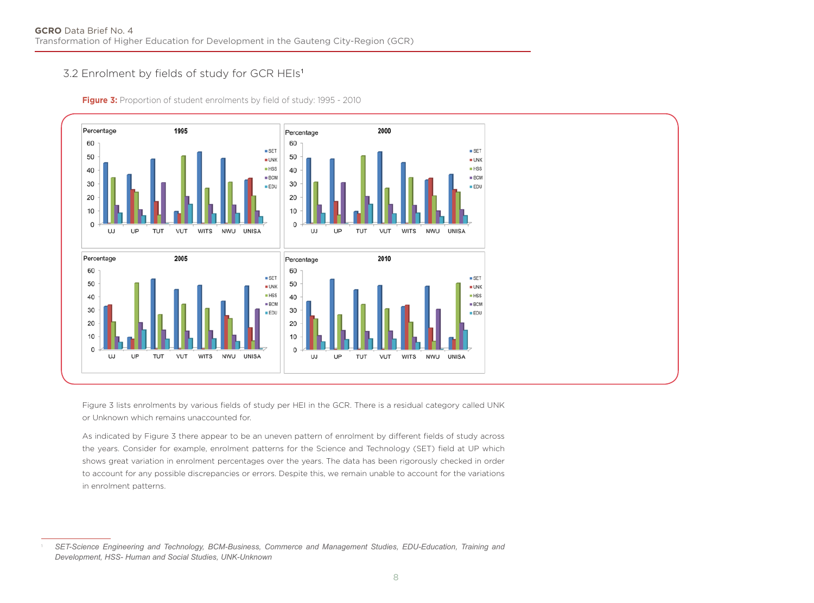### 3.2 Enrolment by fields of study for GCR HEIs<sup>1</sup>

**Figure 3:** Proportion of student enrolments by field of study: 1995 - 2010



Figure 3 lists enrolments by various fields of study per HEI in the GCR. There is a residual category called UNK or Unknown which remains unaccounted for.

As indicated by Figure 3 there appear to be an uneven pattern of enrolment by different fields of study across the years. Consider for example, enrolment patterns for the Science and Technology (SET) field at UP which shows great variation in enrolment percentages over the years. The data has been rigorously checked in order to account for any possible discrepancies or errors. Despite this, we remain unable to account for the variations in enrolment patterns.

<sup>1</sup> *SET-Science Engineering and Technology, BCM-Business, Commerce and Management Studies, EDU-Education, Training and Development, HSS- Human and Social Studies, UNK-Unknown*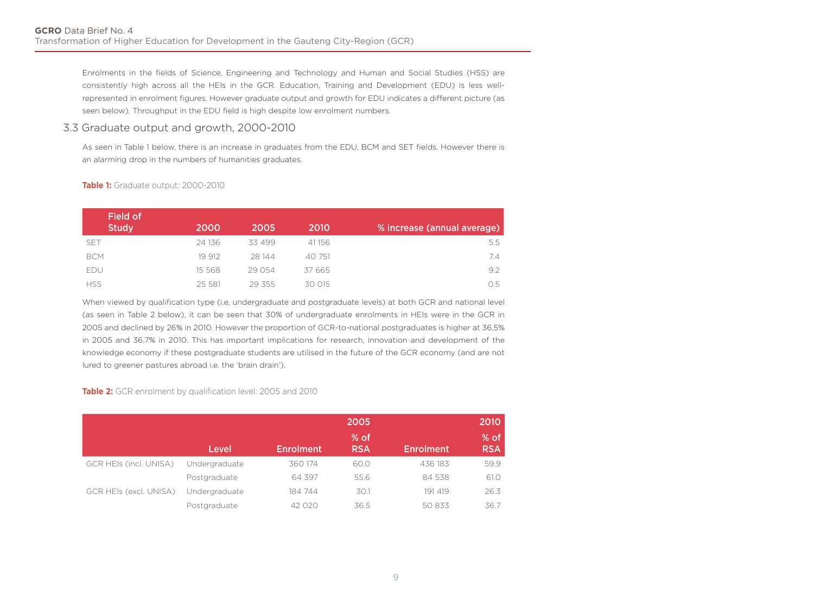Enrolments in the fields of Science, Engineering and Technology and Human and Social Studies (HSS) are consistently high across all the HEIs in the GCR. Education, Training and Development (EDU) is less wellrepresented in enrolment figures. However graduate output and growth for EDU indicates a different picture (as seen below). Throughput in the EDU field is high despite low enrolment numbers.

### 3.3 Graduate output and growth, 2000-2010

As seen in Table 1 below, there is an increase in graduates from the EDU, BCM and SET fields. However there is an alarming drop in the numbers of humanities graduates.

| Field of<br><b>Study</b> | 2000     | 2005     | 2010   | % increase (annual average) |
|--------------------------|----------|----------|--------|-----------------------------|
| <b>SET</b>               | 24 136   | 33 499   | 41156  | 5.5                         |
| <b>BCM</b>               | 19 912   | 28 144   | 40 751 | 7.4                         |
| EDU                      | 15 5 6 8 | 29 054   | 37 665 | 9.2                         |
| <b>HSS</b>               | 25 581   | 29 3 5 5 | 30 015 | 0.5                         |

#### **Table 1:** Graduate output: 2000-2010

When viewed by qualification type (i.e. undergraduate and postgraduate levels) at both GCR and national level (as seen in Table 2 below), it can be seen that 30% of undergraduate enrolments in HEIs were in the GCR in 2005 and declined by 26% in 2010. However the proportion of GCR-to-national postgraduates is higher at 36,5% in 2005 and 36,7% in 2010. This has important implications for research, innovation and development of the knowledge economy if these postgraduate students are utilised in the future of the GCR economy (and are not lured to greener pastures abroad i.e. the 'brain drain').

#### **Table 2:** GCR enrolment by qualification level: 2005 and 2010

|                               |               | 2005             |                      |                  | 2010               |
|-------------------------------|---------------|------------------|----------------------|------------------|--------------------|
|                               | Level         | <b>Enrolment</b> | $%$ of<br><b>RSA</b> | <b>Enrolment</b> | % of<br><b>RSA</b> |
| GCR HEIs (incl. UNISA)        | Undergraduate | 360 174          | 60.0                 | 436 183          | 59.9               |
|                               | Postgraduate  | 64 397           | 55.6                 | 84 538           | 61.0               |
| <b>GCR HEIs (excl. UNISA)</b> | Undergraduate | 184 744          | 30.1                 | 191 419          | 26.3               |
|                               | Postgraduate  | 42.020           | 36.5                 | 50 833           | 36.7               |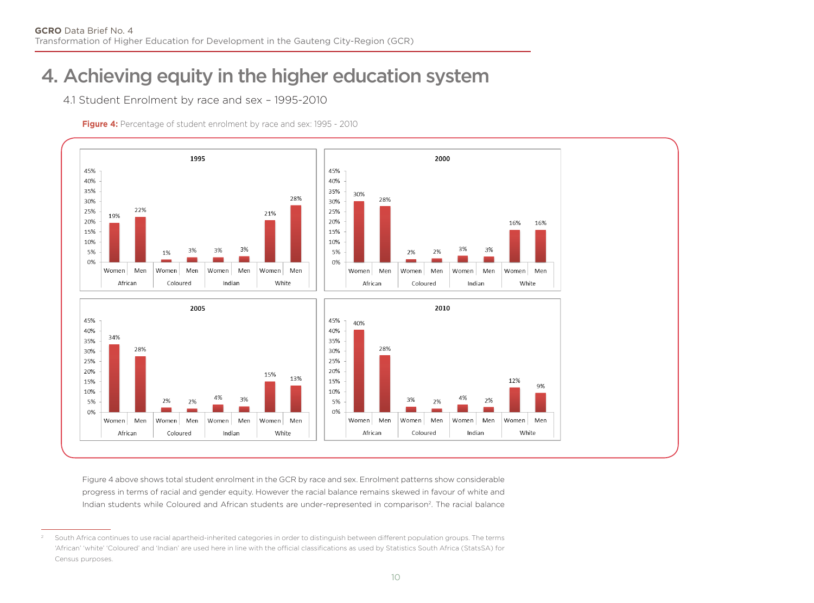# 4. Achieving equity in the higher education system

4.1 Student Enrolment by race and sex – 1995-2010

**Figure 4:** Percentage of student enrolment by race and sex: 1995 - 2010



Figure 4 above shows total student enrolment in the GCR by race and sex. Enrolment patterns show considerable progress in terms of racial and gender equity. However the racial balance remains skewed in favour of white and Indian students while Coloured and African students are under-represented in comparison<sup>2</sup>. The racial balance

<sup>2</sup> South Africa continues to use racial apartheid-inherited categories in order to distinguish between different population groups. The terms 'African' 'white' 'Coloured' and 'Indian' are used here in line with the official classifications as used by Statistics South Africa (StatsSA) for Census purposes.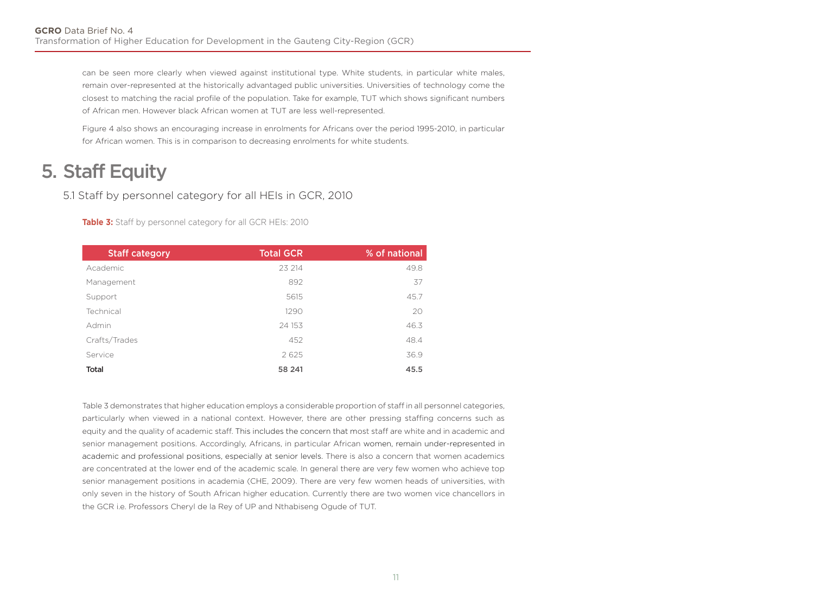can be seen more clearly when viewed against institutional type. White students, in particular white males, remain over-represented at the historically advantaged public universities. Universities of technology come the closest to matching the racial profile of the population. Take for example, TUT which shows significant numbers of African men. However black African women at TUT are less well-represented.

Figure 4 also shows an encouraging increase in enrolments for Africans over the period 1995-2010, in particular for African women. This is in comparison to decreasing enrolments for white students.

# 5. Staff Equity

5.1 Staff by personnel category for all HEIs in GCR, 2010

**Table 3:** Staff by personnel category for all GCR HEIs: 2010

| <b>Staff category</b> | <b>Total GCR</b> | % of national |
|-----------------------|------------------|---------------|
| Academic              | 23 214           | 49.8          |
| Management            | 892              | 37            |
| Support               | 5615             | 45.7          |
| Technical             | 1290             | 20            |
| Admin                 | 24 153           | 46.3          |
| Crafts/Trades         | 452              | 48.4          |
| Service               | 2625             | 36.9          |
| Total                 | 58 241           | 45.5          |

Table 3 demonstrates that higher education employs a considerable proportion of staff in all personnel categories, particularly when viewed in a national context. However, there are other pressing staffing concerns such as equity and the quality of academic staff. This includes the concern that most staff are white and in academic and senior management positions. Accordingly, Africans, in particular African women, remain under-represented in academic and professional positions, especially at senior levels. There is also a concern that women academics are concentrated at the lower end of the academic scale. In general there are very few women who achieve top senior management positions in academia (CHE, 2009). There are very few women heads of universities, with only seven in the history of South African higher education. Currently there are two women vice chancellors in the GCR i.e. Professors Cheryl de la Rey of UP and Nthabiseng Ogude of TUT.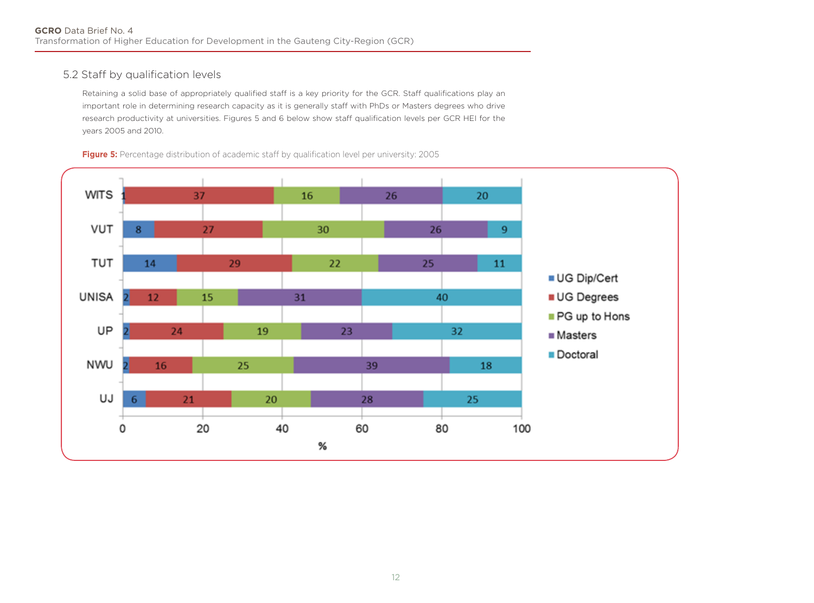### 5.2 Staff by qualification levels

Retaining a solid base of appropriately qualified staff is a key priority for the GCR. Staff qualifications play an important role in determining research capacity as it is generally staff with PhDs or Masters degrees who drive research productivity at universities. Figures 5 and 6 below show staff qualification levels per GCR HEI for the years 2005 and 2010.

**Figure 5:** Percentage distribution of academic staff by qualification level per university: 2005

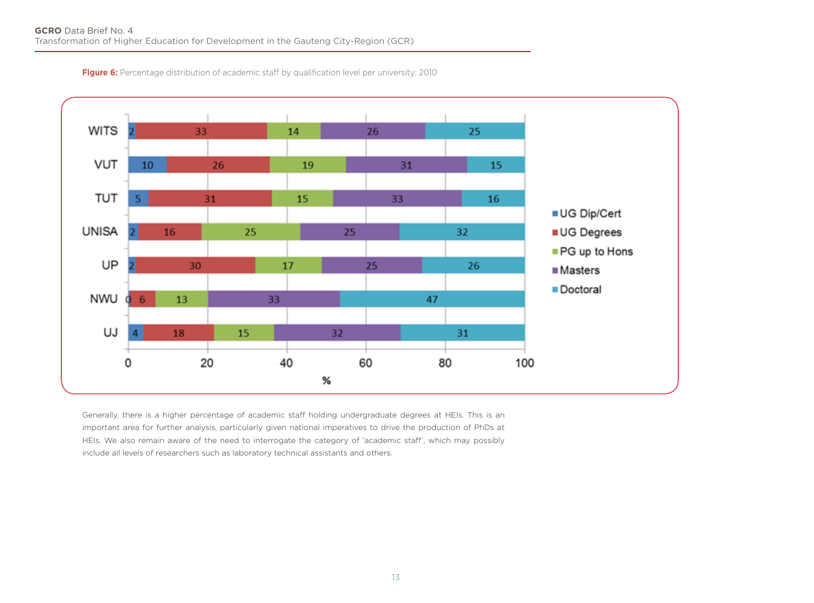**Figure 6:** Percentage distribution of academic staff by qualification level per university: 2010



Generally, there is a higher percentage of academic staff holding undergraduate degrees at HEIs. This is an important area for further analysis, particularly given national imperatives to drive the production of PhDs at HEIs. We also remain aware of the need to interrogate the category of 'academic staff', which may possibly include all levels of researchers such as laboratory technical assistants and others.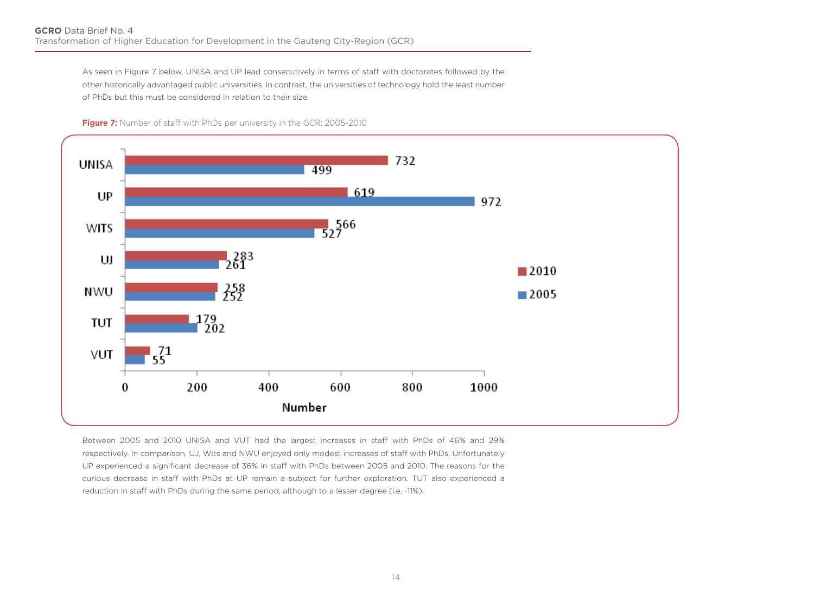As seen in Figure 7 below, UNISA and UP lead consecutively in terms of staff with doctorates followed by the other historically advantaged public universities. In contrast, the universities of technology hold the least number of PhDs but this must be considered in relation to their size.





Between 2005 and 2010 UNISA and VUT had the largest increases in staff with PhDs of 46% and 29% respectively. In comparison, UJ, Wits and NWU enjoyed only modest increases of staff with PhDs. Unfortunately UP experienced a significant decrease of 36% in staff with PhDs between 2005 and 2010. The reasons for the curious decrease in staff with PhDs at UP remain a subject for further exploration. TUT also experienced a reduction in staff with PhDs during the same period, although to a lesser degree (i.e. -11%).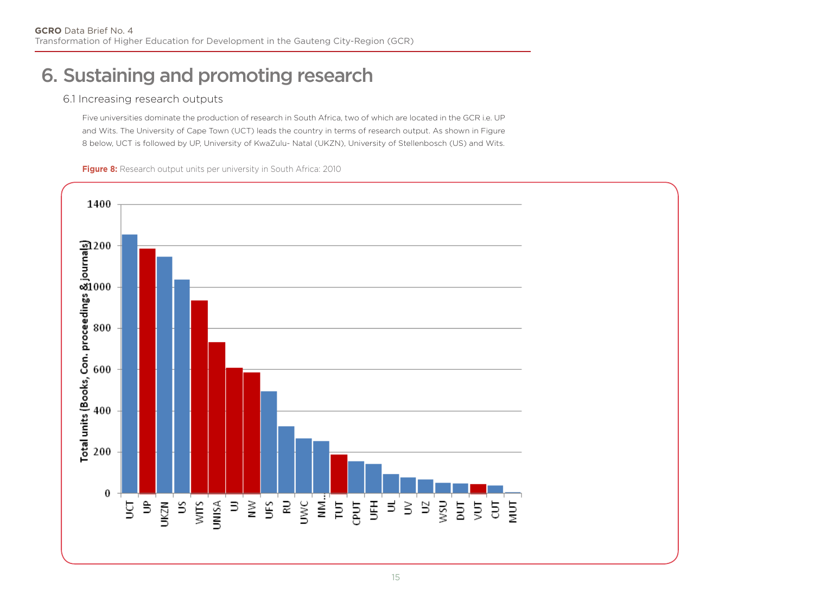# 6. Sustaining and promoting research

### 6.1 Increasing research outputs

Five universities dominate the production of research in South Africa, two of which are located in the GCR i.e. UP and Wits. The University of Cape Town (UCT) leads the country in terms of research output. As shown in Figure 8 below, UCT is followed by UP, University of KwaZulu- Natal (UKZN), University of Stellenbosch (US) and Wits.

**Figure 8:** Research output units per university in South Africa: 2010

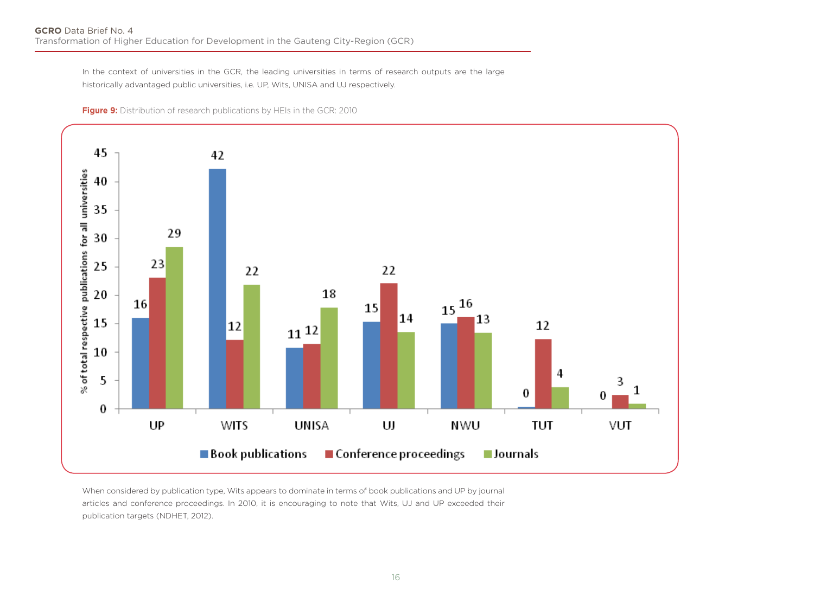In the context of universities in the GCR, the leading universities in terms of research outputs are the large historically advantaged public universities, i.e. UP, Wits, UNISA and UJ respectively.





When considered by publication type, Wits appears to dominate in terms of book publications and UP by journal articles and conference proceedings. In 2010, it is encouraging to note that Wits, UJ and UP exceeded their publication targets (NDHET, 2012).